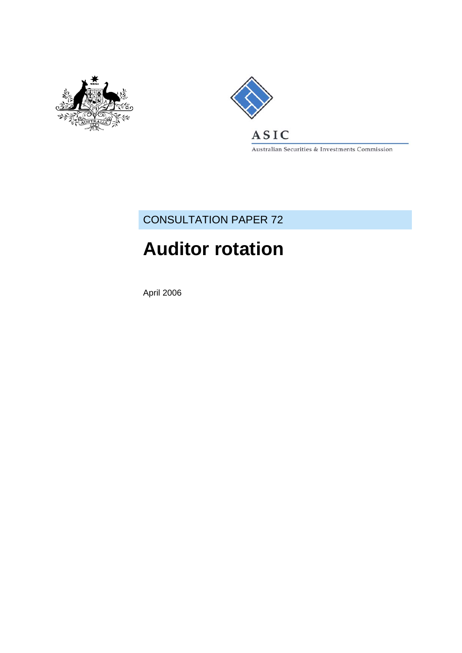



Australian Securities & Investments Commission

### CONSULTATION PAPER 72

# **Auditor rotation**

April 2006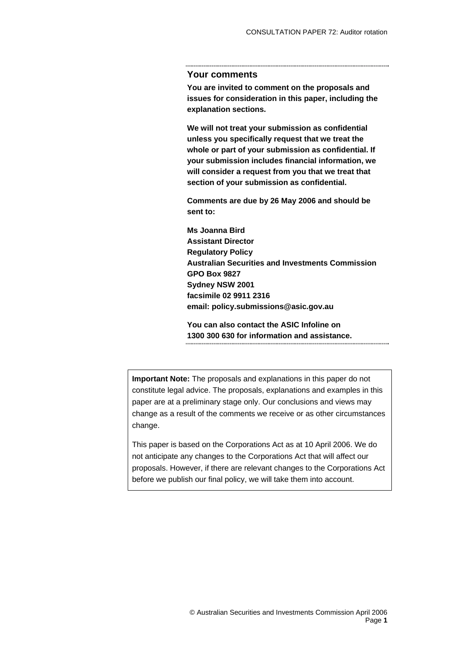#### **Your comments**

**You are invited to comment on the proposals and issues for consideration in this paper, including the explanation sections.** 

**We will not treat your submission as confidential unless you specifically request that we treat the whole or part of your submission as confidential. If your submission includes financial information, we will consider a request from you that we treat that section of your submission as confidential.** 

**Comments are due by 26 May 2006 and should be sent to:** 

**Ms Joanna Bird Assistant Director Regulatory Policy Australian Securities and Investments Commission GPO Box 9827 Sydney NSW 2001 facsimile 02 9911 2316 email: policy.submissions@asic.gov.au** 

**You can also contact the ASIC Infoline on 1300 300 630 for information and assistance.**  

**Important Note:** The proposals and explanations in this paper do not constitute legal advice. The proposals, explanations and examples in this paper are at a preliminary stage only. Our conclusions and views may change as a result of the comments we receive or as other circumstances change.

This paper is based on the Corporations Act as at 10 April 2006. We do not anticipate any changes to the Corporations Act that will affect our proposals. However, if there are relevant changes to the Corporations Act before we publish our final policy, we will take them into account.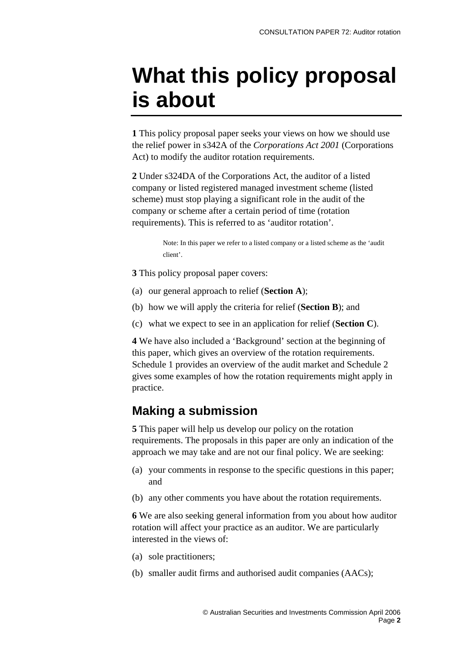# <span id="page-2-0"></span>**What this policy proposal is about**

**1** This policy proposal paper seeks your views on how we should use the relief power in s342A of the *Corporations Act 2001* (Corporations Act) to modify the auditor rotation requirements.

**2** Under s324DA of the Corporations Act, the auditor of a listed company or listed registered managed investment scheme (listed scheme) must stop playing a significant role in the audit of the company or scheme after a certain period of time (rotation requirements). This is referred to as 'auditor rotation'.

> Note: In this paper we refer to a listed company or a listed scheme as the 'audit client'.

**3** This policy proposal paper covers:

- (a) our general approach to relief (**Section A**);
- (b) how we will apply the criteria for relief (**Section B**); and
- (c) what we expect to see in an application for relief (**Section C**).

**4** We have also included a 'Background' section at the beginning of this paper, which gives an overview of the rotation requirements. Schedule 1 provides an overview of the audit market and Schedule 2 gives some examples of how the rotation requirements might apply in practice.

### **Making a submission**

**5** This paper will help us develop our policy on the rotation requirements. The proposals in this paper are only an indication of the approach we may take and are not our final policy. We are seeking:

- (a) your comments in response to the specific questions in this paper; and
- (b) any other comments you have about the rotation requirements.

**6** We are also seeking general information from you about how auditor rotation will affect your practice as an auditor. We are particularly interested in the views of:

- (a) sole practitioners;
- (b) smaller audit firms and authorised audit companies (AACs);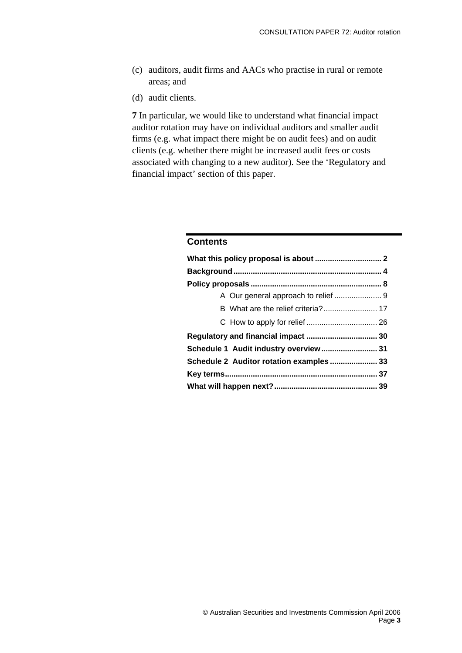- (c) auditors, audit firms and AACs who practise in rural or remote areas; and
- (d) audit clients.

**7** In particular, we would like to understand what financial impact auditor rotation may have on individual auditors and smaller audit firms (e.g. what impact there might be on audit fees) and on audit clients (e.g. whether there might be increased audit fees or costs associated with changing to a new auditor). See the 'Regulatory and financial impact' section of this paper.

#### **Contents**

| Schedule 1 Audit industry overview 31    |  |
|------------------------------------------|--|
| Schedule 2 Auditor rotation examples  33 |  |
|                                          |  |
|                                          |  |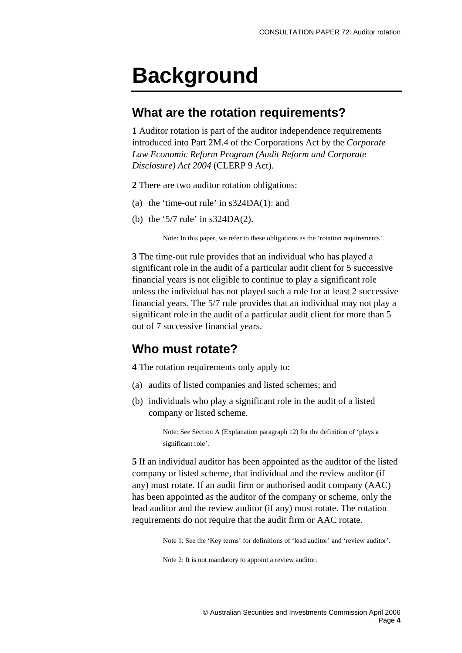# <span id="page-4-0"></span>**Background**

#### **What are the rotation requirements?**

**1** Auditor rotation is part of the auditor independence requirements introduced into Part 2M.4 of the Corporations Act by the *Corporate Law Economic Reform Program (Audit Reform and Corporate Disclosure) Act 2004* (CLERP 9 Act).

**2** There are two auditor rotation obligations:

- (a) the 'time-out rule' in s324DA(1): and
- (b) the '5/7 rule' in s324DA(2).

Note: In this paper, we refer to these obligations as the 'rotation requirements'.

**3** The time-out rule provides that an individual who has played a significant role in the audit of a particular audit client for 5 successive financial years is not eligible to continue to play a significant role unless the individual has not played such a role for at least 2 successive financial years. The 5/7 rule provides that an individual may not play a significant role in the audit of a particular audit client for more than 5 out of 7 successive financial years.

### **Who must rotate?**

**4** The rotation requirements only apply to:

- (a) audits of listed companies and listed schemes; and
- (b) individuals who play a significant role in the audit of a listed company or listed scheme.

Note: See Section A (Explanation paragraph 12) for the definition of 'plays a significant role'.

**5** If an individual auditor has been appointed as the auditor of the listed company or listed scheme, that individual and the review auditor (if any) must rotate. If an audit firm or authorised audit company (AAC) has been appointed as the auditor of the company or scheme, only the lead auditor and the review auditor (if any) must rotate. The rotation requirements do not require that the audit firm or AAC rotate.

Note 1: See the 'Key terms' for definitions of 'lead auditor' and 'review auditor'.

Note 2: It is not mandatory to appoint a review auditor.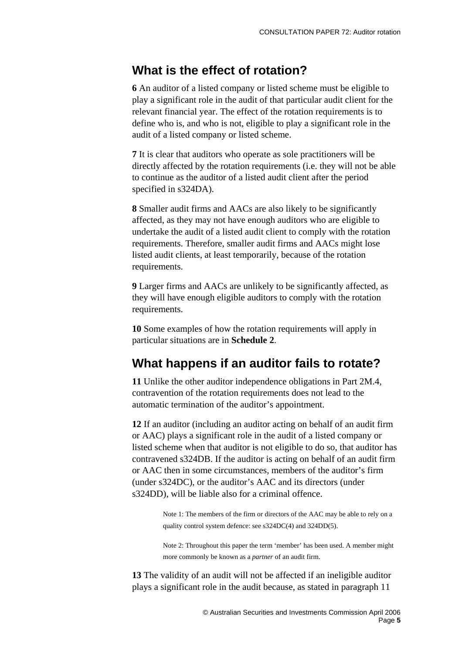#### **What is the effect of rotation?**

**6** An auditor of a listed company or listed scheme must be eligible to play a significant role in the audit of that particular audit client for the relevant financial year. The effect of the rotation requirements is to define who is, and who is not, eligible to play a significant role in the audit of a listed company or listed scheme.

**7** It is clear that auditors who operate as sole practitioners will be directly affected by the rotation requirements (i.e. they will not be able to continue as the auditor of a listed audit client after the period specified in s324DA).

**8** Smaller audit firms and AACs are also likely to be significantly affected, as they may not have enough auditors who are eligible to undertake the audit of a listed audit client to comply with the rotation requirements. Therefore, smaller audit firms and AACs might lose listed audit clients, at least temporarily, because of the rotation requirements.

**9** Larger firms and AACs are unlikely to be significantly affected, as they will have enough eligible auditors to comply with the rotation requirements.

**10** Some examples of how the rotation requirements will apply in particular situations are in **Schedule 2**.

### **What happens if an auditor fails to rotate?**

**11** Unlike the other auditor independence obligations in Part 2M.4, contravention of the rotation requirements does not lead to the automatic termination of the auditor's appointment.

**12** If an auditor (including an auditor acting on behalf of an audit firm or AAC) plays a significant role in the audit of a listed company or listed scheme when that auditor is not eligible to do so, that auditor has contravened s324DB. If the auditor is acting on behalf of an audit firm or AAC then in some circumstances, members of the auditor's firm (under s324DC), or the auditor's AAC and its directors (under s324DD), will be liable also for a criminal offence.

> Note 1: The members of the firm or directors of the AAC may be able to rely on a quality control system defence: see s324DC(4) and 324DD(5).

> Note 2: Throughout this paper the term 'member' has been used. A member might more commonly be known as a *partner* of an audit firm.

**13** The validity of an audit will not be affected if an ineligible auditor plays a significant role in the audit because, as stated in paragraph 11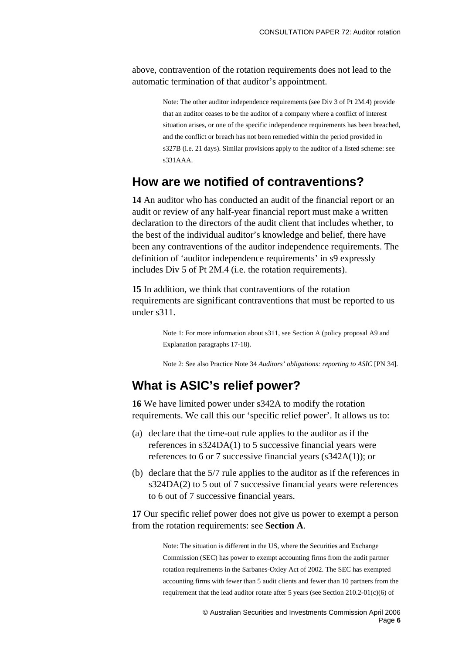above, contravention of the rotation requirements does not lead to the automatic termination of that auditor's appointment.

> Note: The other auditor independence requirements (see Div 3 of Pt 2M.4) provide that an auditor ceases to be the auditor of a company where a conflict of interest situation arises, or one of the specific independence requirements has been breached, and the conflict or breach has not been remedied within the period provided in s327B (i.e. 21 days). Similar provisions apply to the auditor of a listed scheme: see s331AAA.

#### **How are we notified of contraventions?**

**14** An auditor who has conducted an audit of the financial report or an audit or review of any half-year financial report must make a written declaration to the directors of the audit client that includes whether, to the best of the individual auditor's knowledge and belief, there have been any contraventions of the auditor independence requirements. The definition of 'auditor independence requirements' in s9 expressly includes Div 5 of Pt 2M.4 (i.e. the rotation requirements).

**15** In addition, we think that contraventions of the rotation requirements are significant contraventions that must be reported to us under s311.

> Note 1: For more information about s311, see Section A (policy proposal A9 and Explanation paragraphs 17-18).

Note 2: See also Practice Note 34 *Auditors' obligations: reporting to ASIC* [PN 34].

#### **What is ASIC's relief power?**

**16** We have limited power under s342A to modify the rotation requirements. We call this our 'specific relief power'. It allows us to:

- (a) declare that the time-out rule applies to the auditor as if the references in s324DA(1) to 5 successive financial years were references to 6 or 7 successive financial years (s342A(1)); or
- (b) declare that the 5/7 rule applies to the auditor as if the references in s324DA(2) to 5 out of 7 successive financial years were references to 6 out of 7 successive financial years.

**17** Our specific relief power does not give us power to exempt a person from the rotation requirements: see **Section A**.

> Note: The situation is different in the US, where the Securities and Exchange Commission (SEC) has power to exempt accounting firms from the audit partner rotation requirements in the Sarbanes-Oxley Act of 2002. The SEC has exempted accounting firms with fewer than 5 audit clients and fewer than 10 partners from the requirement that the lead auditor rotate after 5 years (see Section 210.2-01(c)(6) of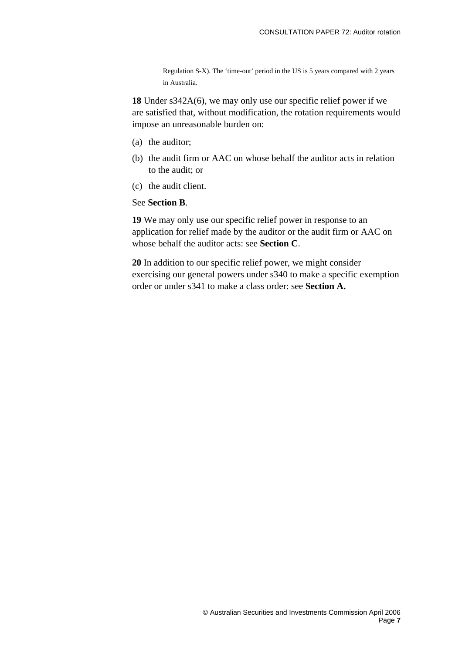Regulation S-X). The 'time-out' period in the US is 5 years compared with 2 years in Australia.

**18** Under s342A(6), we may only use our specific relief power if we are satisfied that, without modification, the rotation requirements would impose an unreasonable burden on:

- (a) the auditor;
- (b) the audit firm or AAC on whose behalf the auditor acts in relation to the audit; or
- (c) the audit client.

#### See **Section B**.

**19** We may only use our specific relief power in response to an application for relief made by the auditor or the audit firm or AAC on whose behalf the auditor acts: see **Section C**.

**20** In addition to our specific relief power, we might consider exercising our general powers under s340 to make a specific exemption order or under s341 to make a class order: see **Section A.**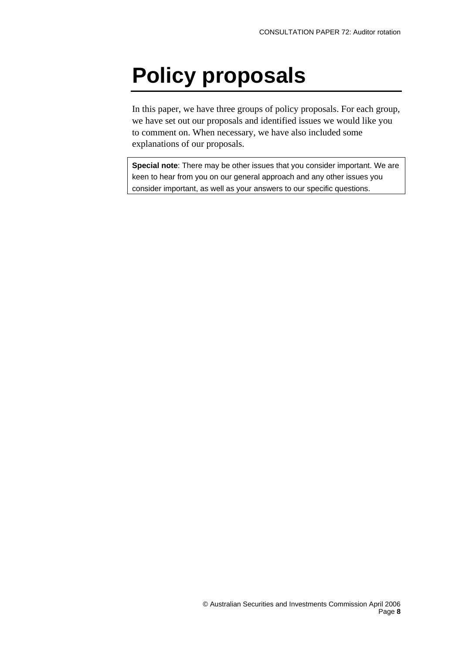# <span id="page-8-0"></span>**Policy proposals**

In this paper, we have three groups of policy proposals. For each group, we have set out our proposals and identified issues we would like you to comment on. When necessary, we have also included some explanations of our proposals.

**Special note**: There may be other issues that you consider important. We are keen to hear from you on our general approach and any other issues you consider important, as well as your answers to our specific questions.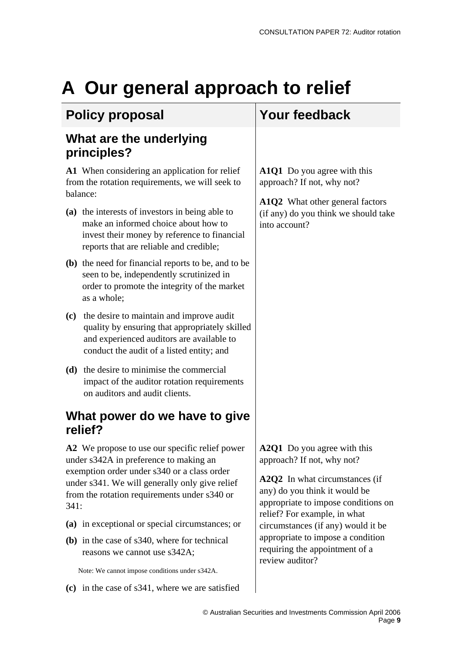# <span id="page-9-0"></span>**A Our general approach to relief**

### **Policy proposal Your feedback**

### **What are the underlying principles?**

**A1** When considering an application for relief from the rotation requirements, we will seek to balance:

- **(a)** the interests of investors in being able to make an informed choice about how to invest their money by reference to financial reports that are reliable and credible;
- **(b)** the need for financial reports to be, and to be seen to be, independently scrutinized in order to promote the integrity of the market as a whole;
- **(c)** the desire to maintain and improve audit quality by ensuring that appropriately skilled and experienced auditors are available to conduct the audit of a listed entity; and
- **(d)** the desire to minimise the commercial impact of the auditor rotation requirements on auditors and audit clients.

### **What power do we have to give relief?**

**A2** We propose to use our specific relief power under s342A in preference to making an exemption order under s340 or a class order under s341. We will generally only give relief from the rotation requirements under s340 or 341:

- **(a)** in exceptional or special circumstances; or
- **(b)** in the case of s340, where for technical reasons we cannot use s342A;

Note: We cannot impose conditions under s342A.

**(c)** in the case of s341, where we are satisfied

**A1Q1** Do you agree with this approach? If not, why not?

**A1Q2** What other general factors (if any) do you think we should take into account?

**A2Q1** Do you agree with this approach? If not, why not?

**A2Q2** In what circumstances (if any) do you think it would be appropriate to impose conditions on relief? For example, in what circumstances (if any) would it be appropriate to impose a condition requiring the appointment of a review auditor?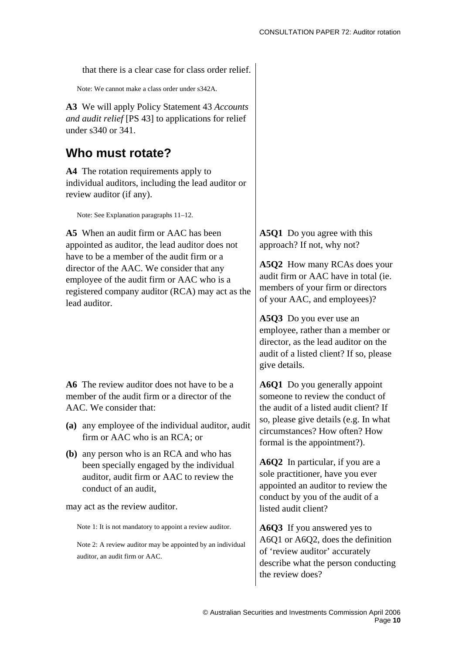that there is a clear case for class order relief.

Note: We cannot make a class order under s342A.

**A3** We will apply Policy Statement 43 *Accounts and audit relief* [PS 43] to applications for relief under s340 or 341.

#### **Who must rotate?**

**A4** The rotation requirements apply to individual auditors, including the lead auditor or review auditor (if any).

Note: See Explanation paragraphs 11–12.

**A5** When an audit firm or AAC has been appointed as auditor, the lead auditor does not have to be a member of the audit firm or a director of the AAC. We consider that any employee of the audit firm or AAC who is a registered company auditor (RCA) may act as the lead auditor.

**A6** The review auditor does not have to be a member of the audit firm or a director of the AAC. We consider that:

- **(a)** any employee of the individual auditor, audit firm or AAC who is an RCA; or
- **(b)** any person who is an RCA and who has been specially engaged by the individual auditor, audit firm or AAC to review the conduct of an audit,

may act as the review auditor.

Note 1: It is not mandatory to appoint a review auditor.

Note 2: A review auditor may be appointed by an individual auditor, an audit firm or AAC.

**A5Q1** Do you agree with this approach? If not, why not?

**A5Q2** How many RCAs does your audit firm or AAC have in total (ie. members of your firm or directors of your AAC, and employees)?

**A5Q3** Do you ever use an employee, rather than a member or director, as the lead auditor on the audit of a listed client? If so, please give details.

**A6Q1** Do you generally appoint someone to review the conduct of the audit of a listed audit client? If so, please give details (e.g. In what circumstances? How often? How formal is the appointment?).

**A6Q2** In particular, if you are a sole practitioner, have you ever appointed an auditor to review the conduct by you of the audit of a listed audit client?

**A6Q3** If you answered yes to A6Q1 or A6Q2, does the definition of 'review auditor' accurately describe what the person conducting the review does?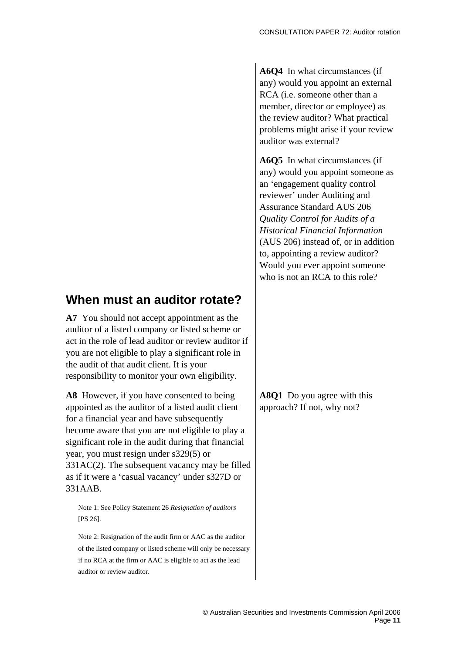**A6Q4** In what circumstances (if any) would you appoint an external RCA (i.e. someone other than a member, director or employee) as the review auditor? What practical problems might arise if your review auditor was external?

**A6Q5** In what circumstances (if any) would you appoint someone as an 'engagement quality control reviewer' under Auditing and Assurance Standard AUS 206 *Quality Control for Audits of a Historical Financial Information* (AUS 206) instead of, or in addition to, appointing a review auditor? Would you ever appoint someone who is not an RCA to this role?

### **When must an auditor rotate?**

**A7** You should not accept appointment as the auditor of a listed company or listed scheme or act in the role of lead auditor or review auditor if you are not eligible to play a significant role in the audit of that audit client. It is your responsibility to monitor your own eligibility.

**A8** However, if you have consented to being appointed as the auditor of a listed audit client for a financial year and have subsequently become aware that you are not eligible to play a significant role in the audit during that financial year, you must resign under s329(5) or 331AC(2). The subsequent vacancy may be filled as if it were a 'casual vacancy' under s327D or 331AAB.

Note 1: See Policy Statement 26 *Resignation of auditors*  [PS 26].

Note 2: Resignation of the audit firm or AAC as the auditor of the listed company or listed scheme will only be necessary if no RCA at the firm or AAC is eligible to act as the lead auditor or review auditor.

**A8Q1** Do you agree with this approach? If not, why not?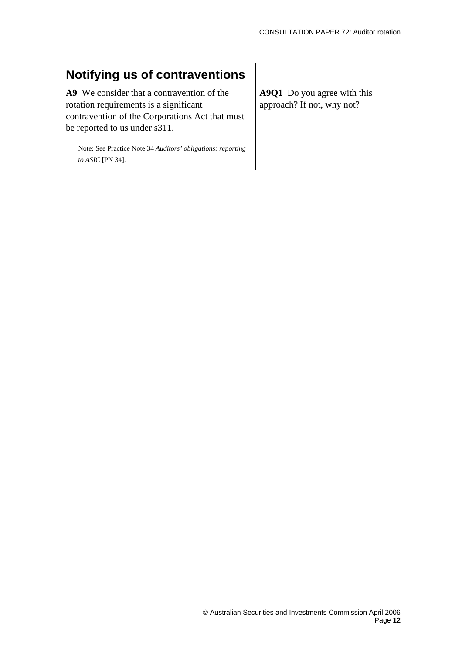### **Notifying us of contraventions**

**A9** We consider that a contravention of the rotation requirements is a significant contravention of the Corporations Act that must be reported to us under s311.

Note: See Practice Note 34 *Auditors' obligations: reporting to ASIC* [PN 34].

**A9Q1** Do you agree with this approach? If not, why not?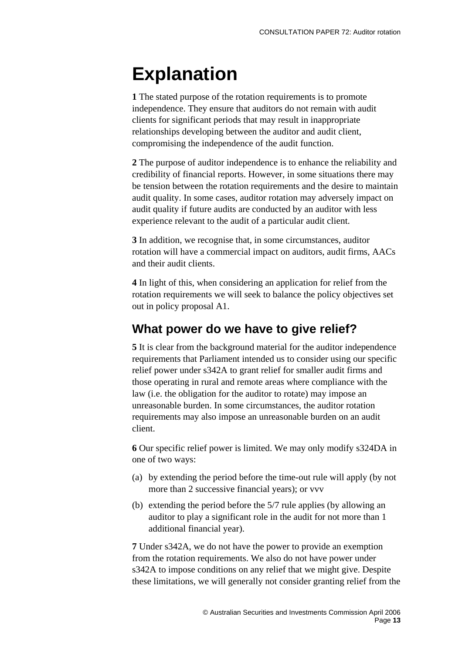# **Explanation**

**1** The stated purpose of the rotation requirements is to promote independence. They ensure that auditors do not remain with audit clients for significant periods that may result in inappropriate relationships developing between the auditor and audit client, compromising the independence of the audit function.

**2** The purpose of auditor independence is to enhance the reliability and credibility of financial reports. However, in some situations there may be tension between the rotation requirements and the desire to maintain audit quality. In some cases, auditor rotation may adversely impact on audit quality if future audits are conducted by an auditor with less experience relevant to the audit of a particular audit client.

**3** In addition, we recognise that, in some circumstances, auditor rotation will have a commercial impact on auditors, audit firms, AACs and their audit clients.

**4** In light of this, when considering an application for relief from the rotation requirements we will seek to balance the policy objectives set out in policy proposal A1.

#### **What power do we have to give relief?**

**5** It is clear from the background material for the auditor independence requirements that Parliament intended us to consider using our specific relief power under s342A to grant relief for smaller audit firms and those operating in rural and remote areas where compliance with the law (i.e. the obligation for the auditor to rotate) may impose an unreasonable burden. In some circumstances, the auditor rotation requirements may also impose an unreasonable burden on an audit client.

**6** Our specific relief power is limited. We may only modify s324DA in one of two ways:

- (a) by extending the period before the time-out rule will apply (by not more than 2 successive financial years); or vvv
- (b) extending the period before the 5/7 rule applies (by allowing an auditor to play a significant role in the audit for not more than 1 additional financial year).

**7** Under s342A, we do not have the power to provide an exemption from the rotation requirements. We also do not have power under s342A to impose conditions on any relief that we might give. Despite these limitations, we will generally not consider granting relief from the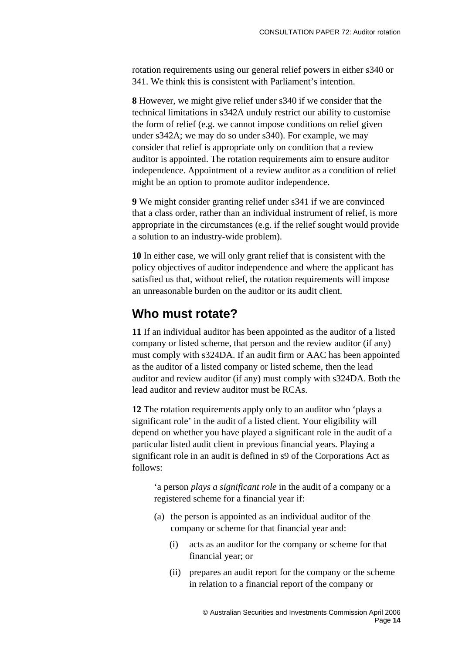rotation requirements using our general relief powers in either s340 or 341. We think this is consistent with Parliament's intention.

**8** However, we might give relief under s340 if we consider that the technical limitations in s342A unduly restrict our ability to customise the form of relief (e.g. we cannot impose conditions on relief given under s342A; we may do so under s340). For example, we may consider that relief is appropriate only on condition that a review auditor is appointed. The rotation requirements aim to ensure auditor independence. Appointment of a review auditor as a condition of relief might be an option to promote auditor independence.

**9** We might consider granting relief under s341 if we are convinced that a class order, rather than an individual instrument of relief, is more appropriate in the circumstances (e.g. if the relief sought would provide a solution to an industry-wide problem).

**10** In either case, we will only grant relief that is consistent with the policy objectives of auditor independence and where the applicant has satisfied us that, without relief, the rotation requirements will impose an unreasonable burden on the auditor or its audit client.

#### **Who must rotate?**

**11** If an individual auditor has been appointed as the auditor of a listed company or listed scheme, that person and the review auditor (if any) must comply with s324DA. If an audit firm or AAC has been appointed as the auditor of a listed company or listed scheme, then the lead auditor and review auditor (if any) must comply with s324DA. Both the lead auditor and review auditor must be RCAs.

**12** The rotation requirements apply only to an auditor who 'plays a significant role' in the audit of a listed client. Your eligibility will depend on whether you have played a significant role in the audit of a particular listed audit client in previous financial years. Playing a significant role in an audit is defined in s9 of the Corporations Act as follows:

'a person *plays a significant role* in the audit of a company or a registered scheme for a financial year if:

- (a) the person is appointed as an individual auditor of the company or scheme for that financial year and:
	- (i) acts as an auditor for the company or scheme for that financial year; or
	- (ii) prepares an audit report for the company or the scheme in relation to a financial report of the company or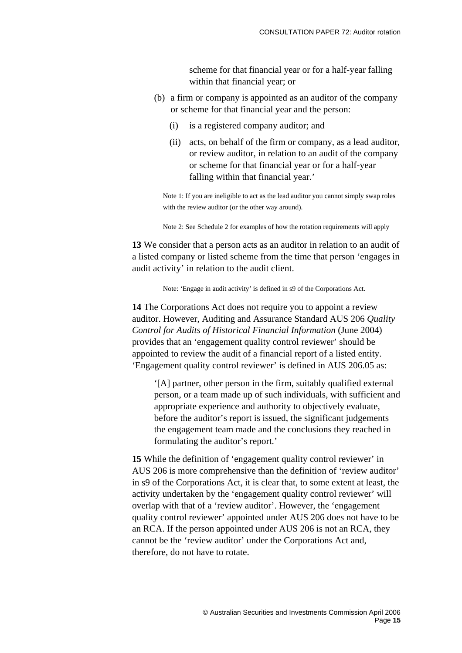scheme for that financial year or for a half-year falling within that financial year; or

- (b) a firm or company is appointed as an auditor of the company or scheme for that financial year and the person:
	- (i) is a registered company auditor; and
	- (ii) acts, on behalf of the firm or company, as a lead auditor, or review auditor, in relation to an audit of the company or scheme for that financial year or for a half-year falling within that financial year.'

Note 1: If you are ineligible to act as the lead auditor you cannot simply swap roles with the review auditor (or the other way around).

Note 2: See Schedule 2 for examples of how the rotation requirements will apply

**13** We consider that a person acts as an auditor in relation to an audit of a listed company or listed scheme from the time that person 'engages in audit activity' in relation to the audit client.

Note: 'Engage in audit activity' is defined in s9 of the Corporations Act.

**14** The Corporations Act does not require you to appoint a review auditor. However, Auditing and Assurance Standard AUS 206 *Quality Control for Audits of Historical Financial Information* (June 2004) provides that an 'engagement quality control reviewer' should be appointed to review the audit of a financial report of a listed entity. 'Engagement quality control reviewer' is defined in AUS 206.05 as:

'[A] partner, other person in the firm, suitably qualified external person, or a team made up of such individuals, with sufficient and appropriate experience and authority to objectively evaluate, before the auditor's report is issued, the significant judgements the engagement team made and the conclusions they reached in formulating the auditor's report.'

**15** While the definition of 'engagement quality control reviewer' in AUS 206 is more comprehensive than the definition of 'review auditor' in s9 of the Corporations Act, it is clear that, to some extent at least, the activity undertaken by the 'engagement quality control reviewer' will overlap with that of a 'review auditor'. However, the 'engagement quality control reviewer' appointed under AUS 206 does not have to be an RCA. If the person appointed under AUS 206 is not an RCA, they cannot be the 'review auditor' under the Corporations Act and, therefore, do not have to rotate.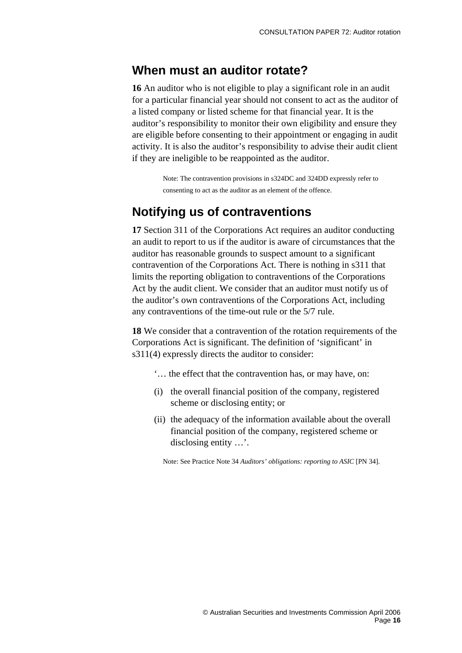#### **When must an auditor rotate?**

**16** An auditor who is not eligible to play a significant role in an audit for a particular financial year should not consent to act as the auditor of a listed company or listed scheme for that financial year. It is the auditor's responsibility to monitor their own eligibility and ensure they are eligible before consenting to their appointment or engaging in audit activity. It is also the auditor's responsibility to advise their audit client if they are ineligible to be reappointed as the auditor.

> Note: The contravention provisions in s324DC and 324DD expressly refer to consenting to act as the auditor as an element of the offence.

#### **Notifying us of contraventions**

**17** Section 311 of the Corporations Act requires an auditor conducting an audit to report to us if the auditor is aware of circumstances that the auditor has reasonable grounds to suspect amount to a significant contravention of the Corporations Act. There is nothing in s311 that limits the reporting obligation to contraventions of the Corporations Act by the audit client. We consider that an auditor must notify us of the auditor's own contraventions of the Corporations Act, including any contraventions of the time-out rule or the 5/7 rule.

**18** We consider that a contravention of the rotation requirements of the Corporations Act is significant. The definition of 'significant' in s311(4) expressly directs the auditor to consider:

- '… the effect that the contravention has, or may have, on:
- (i) the overall financial position of the company, registered scheme or disclosing entity; or
- (ii) the adequacy of the information available about the overall financial position of the company, registered scheme or disclosing entity …'.

Note: See Practice Note 34 *Auditors' obligations: reporting to ASIC* [PN 34].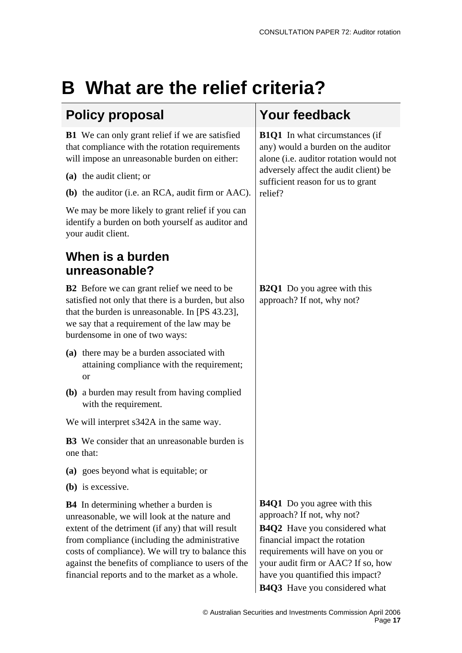# <span id="page-17-0"></span>**B What are the relief criteria?**

### **Policy proposal Your feedback**

**B1** We can only grant relief if we are satisfied that compliance with the rotation requirements will impose an unreasonable burden on either:

- **(a)** the audit client; or
- **(b)** the auditor (i.e. an RCA, audit firm or AAC).

We may be more likely to grant relief if you can identify a burden on both yourself as auditor and your audit client.

### **When is a burden unreasonable?**

**B2** Before we can grant relief we need to be satisfied not only that there is a burden, but also that the burden is unreasonable. In [PS 43.23], we say that a requirement of the law may be burdensome in one of two ways:

- **(a)** there may be a burden associated with attaining compliance with the requirement; or
- **(b)** a burden may result from having complied with the requirement.
- We will interpret s342A in the same way.

**B3** We consider that an unreasonable burden is one that:

- **(a)** goes beyond what is equitable; or
- **(b)** is excessive.

**B4** In determining whether a burden is unreasonable, we will look at the nature and extent of the detriment (if any) that will result from compliance (including the administrative costs of compliance). We will try to balance this against the benefits of compliance to users of the financial reports and to the market as a whole.

**B1Q1** In what circumstances (if any) would a burden on the auditor alone (i.e. auditor rotation would not adversely affect the audit client) be sufficient reason for us to grant relief?

**B2Q1** Do you agree with this approach? If not, why not?

**B4Q1** Do you agree with this approach? If not, why not? **B4Q2** Have you considered what financial impact the rotation requirements will have on you or your audit firm or AAC? If so, how have you quantified this impact? **B4Q3** Have you considered what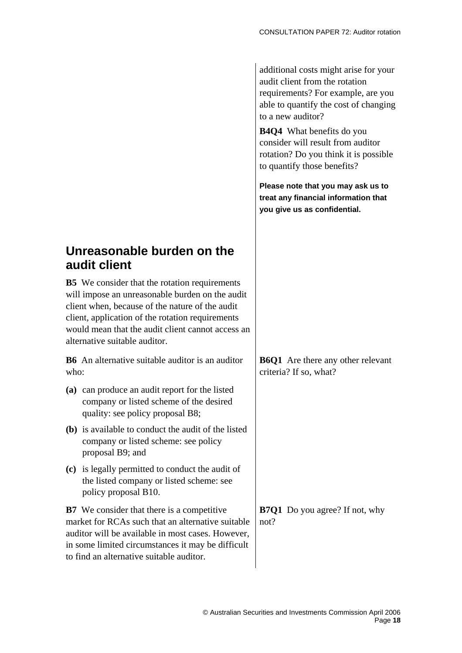additional costs might arise for your audit client from the rotation requirements? For example, are you able to quantify the cost of changing to a new auditor?

**B4Q4** What benefits do you consider will result from auditor rotation? Do you think it is possible to quantify those benefits?

**Please note that you may ask us to treat any financial information that you give us as confidential.** 

### **Unreasonable burden on the audit client**

**B5** We consider that the rotation requirements will impose an unreasonable burden on the audit client when, because of the nature of the audit client, application of the rotation requirements would mean that the audit client cannot access an alternative suitable auditor.

**B6** An alternative suitable auditor is an auditor who:

- **(a)** can produce an audit report for the listed company or listed scheme of the desired quality: see policy proposal B8;
- **(b)** is available to conduct the audit of the listed company or listed scheme: see policy proposal B9; and
- **(c)** is legally permitted to conduct the audit of the listed company or listed scheme: see policy proposal B10.

**B7** We consider that there is a competitive market for RCAs such that an alternative suitable auditor will be available in most cases. However, in some limited circumstances it may be difficult to find an alternative suitable auditor.

**B6Q1** Are there any other relevant criteria? If so, what?

**B7Q1** Do you agree? If not, why not?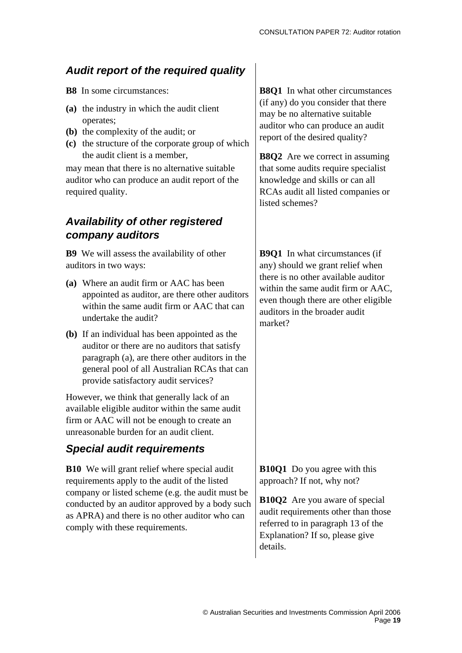#### *Audit report of the required quality*

- **B8** In some circumstances:
- **(a)** the industry in which the audit client operates;
- **(b)** the complexity of the audit; or
- **(c)** the structure of the corporate group of which the audit client is a member,

may mean that there is no alternative suitable auditor who can produce an audit report of the required quality.

#### *Availability of other registered company auditors*

**B9** We will assess the availability of other auditors in two ways:

- **(a)** Where an audit firm or AAC has been appointed as auditor, are there other auditors within the same audit firm or AAC that can undertake the audit?
- **(b)** If an individual has been appointed as the auditor or there are no auditors that satisfy paragraph (a), are there other auditors in the general pool of all Australian RCAs that can provide satisfactory audit services?

However, we think that generally lack of an available eligible auditor within the same audit firm or AAC will not be enough to create an unreasonable burden for an audit client.

### *Special audit requirements*

**B10** We will grant relief where special audit requirements apply to the audit of the listed company or listed scheme (e.g. the audit must be conducted by an auditor approved by a body such as APRA) and there is no other auditor who can comply with these requirements.

**B8O1** In what other circumstances (if any) do you consider that there may be no alternative suitable auditor who can produce an audit report of the desired quality?

**B8Q2** Are we correct in assuming that some audits require specialist knowledge and skills or can all RCAs audit all listed companies or listed schemes?

**B9Q1** In what circumstances (if any) should we grant relief when there is no other available auditor within the same audit firm or AAC, even though there are other eligible auditors in the broader audit market?

**B10Q1** Do you agree with this approach? If not, why not?

**B10Q2** Are you aware of special audit requirements other than those referred to in paragraph 13 of the Explanation? If so, please give details.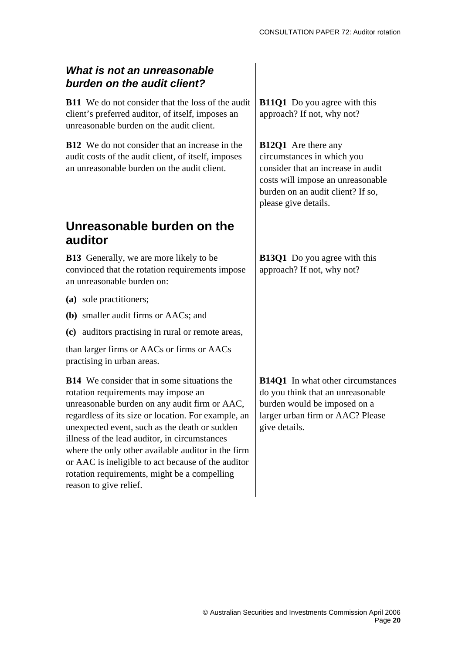#### *What is not an unreasonable burden on the audit client?*

**B11** We do not consider that the loss of the audit client's preferred auditor, of itself, imposes an unreasonable burden on the audit client.

**B12** We do not consider that an increase in the audit costs of the audit client, of itself, imposes an unreasonable burden on the audit client.

#### **Unreasonable burden on the auditor**

**B13** Generally, we are more likely to be convinced that the rotation requirements impose an unreasonable burden on:

- **(a)** sole practitioners;
- **(b)** smaller audit firms or AACs; and
- **(c)** auditors practising in rural or remote areas,

than larger firms or AACs or firms or AACs practising in urban areas.

**B14** We consider that in some situations the rotation requirements may impose an unreasonable burden on any audit firm or AAC, regardless of its size or location. For example, an unexpected event, such as the death or sudden illness of the lead auditor, in circumstances where the only other available auditor in the firm or AAC is ineligible to act because of the auditor rotation requirements, might be a compelling reason to give relief.

**B11Q1** Do you agree with this approach? If not, why not?

**B12Q1** Are there any circumstances in which you consider that an increase in audit costs will impose an unreasonable burden on an audit client? If so, please give details.

**B13Q1** Do you agree with this approach? If not, why not?

**B14O1** In what other circumstances do you think that an unreasonable burden would be imposed on a larger urban firm or AAC? Please give details.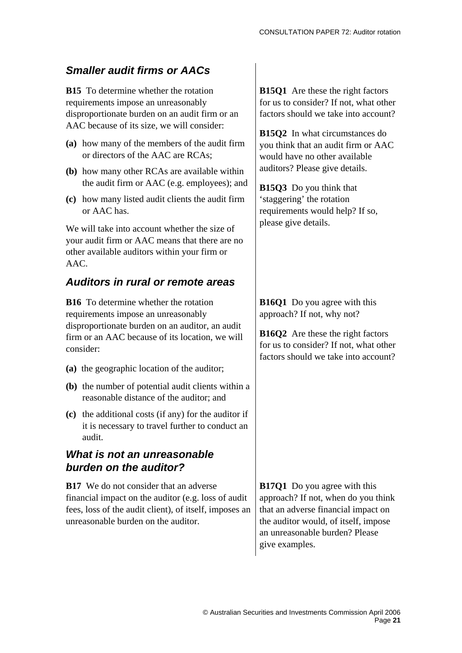#### *Smaller audit firms or AACs*

**B15** To determine whether the rotation requirements impose an unreasonably disproportionate burden on an audit firm or an AAC because of its size, we will consider:

- **(a)** how many of the members of the audit firm or directors of the AAC are RCAs;
- **(b)** how many other RCAs are available within the audit firm or AAC (e.g. employees); and
- **(c)** how many listed audit clients the audit firm or AAC has.

We will take into account whether the size of your audit firm or AAC means that there are no other available auditors within your firm or AAC.

#### *Auditors in rural or remote areas*

**B16** To determine whether the rotation requirements impose an unreasonably disproportionate burden on an auditor, an audit firm or an AAC because of its location, we will consider:

- **(a)** the geographic location of the auditor;
- **(b)** the number of potential audit clients within a reasonable distance of the auditor; and
- **(c)** the additional costs (if any) for the auditor if it is necessary to travel further to conduct an audit.

#### *What is not an unreasonable burden on the auditor?*

**B17** We do not consider that an adverse financial impact on the auditor (e.g. loss of audit fees, loss of the audit client), of itself, imposes an unreasonable burden on the auditor.

**B15O1** Are these the right factors for us to consider? If not, what other factors should we take into account?

**B15Q2** In what circumstances do you think that an audit firm or AAC would have no other available auditors? Please give details.

**B15Q3** Do you think that 'staggering' the rotation requirements would help? If so, please give details.

**B16Q1** Do you agree with this approach? If not, why not?

**B16Q2** Are these the right factors for us to consider? If not, what other factors should we take into account?

**B17Q1** Do you agree with this approach? If not, when do you think that an adverse financial impact on the auditor would, of itself, impose an unreasonable burden? Please give examples.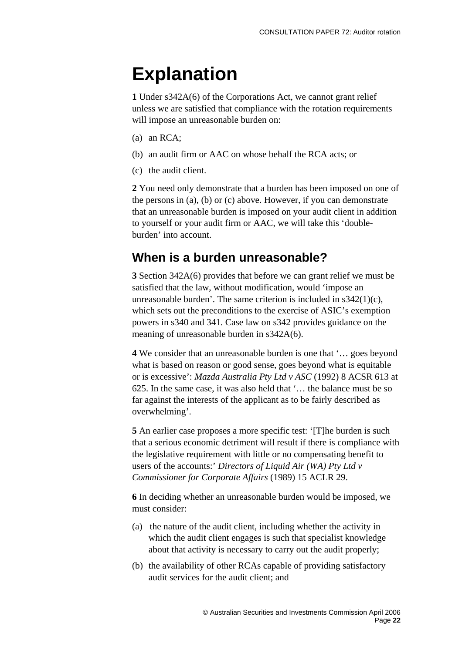# **Explanation**

**1** Under s342A(6) of the Corporations Act, we cannot grant relief unless we are satisfied that compliance with the rotation requirements will impose an unreasonable burden on:

- (a) an RCA;
- (b) an audit firm or AAC on whose behalf the RCA acts; or
- (c) the audit client.

**2** You need only demonstrate that a burden has been imposed on one of the persons in (a), (b) or (c) above. However, if you can demonstrate that an unreasonable burden is imposed on your audit client in addition to yourself or your audit firm or AAC, we will take this 'doubleburden' into account.

#### **When is a burden unreasonable?**

**3** Section 342A(6) provides that before we can grant relief we must be satisfied that the law, without modification, would 'impose an unreasonable burden'. The same criterion is included in  $s342(1)(c)$ , which sets out the preconditions to the exercise of ASIC's exemption powers in s340 and 341. Case law on s342 provides guidance on the meaning of unreasonable burden in s342A(6).

**4** We consider that an unreasonable burden is one that '… goes beyond what is based on reason or good sense, goes beyond what is equitable or is excessive': *Mazda Australia Pty Ltd v ASC* (1992) 8 ACSR 613 at 625. In the same case, it was also held that '… the balance must be so far against the interests of the applicant as to be fairly described as overwhelming'.

**5** An earlier case proposes a more specific test: '[T]he burden is such that a serious economic detriment will result if there is compliance with the legislative requirement with little or no compensating benefit to users of the accounts:' *Directors of Liquid Air (WA) Pty Ltd v Commissioner for Corporate Affairs* (1989) 15 ACLR 29.

**6** In deciding whether an unreasonable burden would be imposed, we must consider:

- (a) the nature of the audit client, including whether the activity in which the audit client engages is such that specialist knowledge about that activity is necessary to carry out the audit properly;
- (b) the availability of other RCAs capable of providing satisfactory audit services for the audit client; and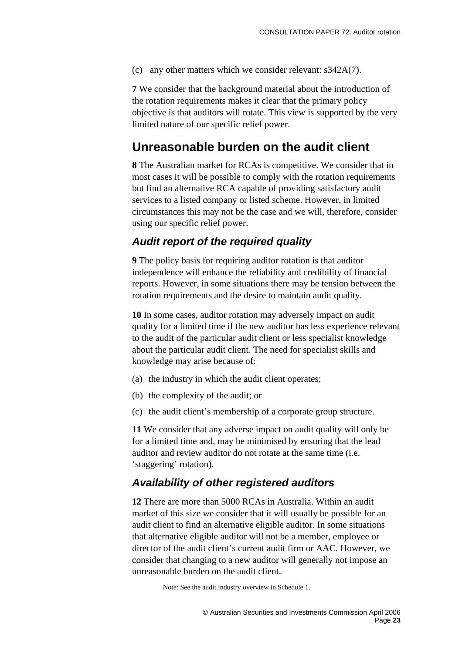(c) any other matters which we consider relevant: s342A(7).

**7** We consider that the background material about the introduction of the rotation requirements makes it clear that the primary policy objective is that auditors will rotate. This view is supported by the very limited nature of our specific relief power.

#### **Unreasonable burden on the audit client**

**8** The Australian market for RCAs is competitive. We consider that in most cases it will be possible to comply with the rotation requirements but find an alternative RCA capable of providing satisfactory audit services to a listed company or listed scheme. However, in limited circumstances this may not be the case and we will, therefore, consider using our specific relief power.

#### *Audit report of the required quality*

**9** The policy basis for requiring auditor rotation is that auditor independence will enhance the reliability and credibility of financial reports. However, in some situations there may be tension between the rotation requirements and the desire to maintain audit quality.

**10** In some cases, auditor rotation may adversely impact on audit quality for a limited time if the new auditor has less experience relevant to the audit of the particular audit client or less specialist knowledge about the particular audit client. The need for specialist skills and knowledge may arise because of:

- (a) the industry in which the audit client operates;
- (b) the complexity of the audit; or
- (c) the audit client's membership of a corporate group structure.

**11** We consider that any adverse impact on audit quality will only be for a limited time and, may be minimised by ensuring that the lead auditor and review auditor do not rotate at the same time (i.e. 'staggering' rotation).

#### *Availability of other registered auditors*

**12** There are more than 5000 RCAs in Australia. Within an audit market of this size we consider that it will usually be possible for an audit client to find an alternative eligible auditor. In some situations that alternative eligible auditor will not be a member, employee or director of the audit client's current audit firm or AAC. However, we consider that changing to a new auditor will generally not impose an unreasonable burden on the audit client.

Note: See the audit industry overview in Schedule 1.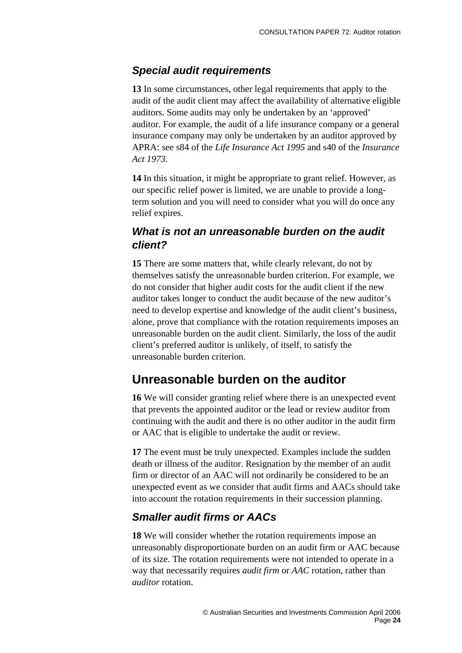#### *Special audit requirements*

**13** In some circumstances, other legal requirements that apply to the audit of the audit client may affect the availability of alternative eligible auditors. Some audits may only be undertaken by an 'approved' auditor. For example, the audit of a life insurance company or a general insurance company may only be undertaken by an auditor approved by APRA: see s84 of the *Life Insurance Act 1995* and s40 of the *Insurance Act 1973*.

**14** In this situation, it might be appropriate to grant relief. However, as our specific relief power is limited, we are unable to provide a longterm solution and you will need to consider what you will do once any relief expires.

#### *What is not an unreasonable burden on the audit client?*

**15** There are some matters that, while clearly relevant, do not by themselves satisfy the unreasonable burden criterion. For example, we do not consider that higher audit costs for the audit client if the new auditor takes longer to conduct the audit because of the new auditor's need to develop expertise and knowledge of the audit client's business, alone, prove that compliance with the rotation requirements imposes an unreasonable burden on the audit client. Similarly, the loss of the audit client's preferred auditor is unlikely, of itself, to satisfy the unreasonable burden criterion.

#### **Unreasonable burden on the auditor**

**16** We will consider granting relief where there is an unexpected event that prevents the appointed auditor or the lead or review auditor from continuing with the audit and there is no other auditor in the audit firm or AAC that is eligible to undertake the audit or review.

**17** The event must be truly unexpected. Examples include the sudden death or illness of the auditor. Resignation by the member of an audit firm or director of an AAC will not ordinarily be considered to be an unexpected event as we consider that audit firms and AACs should take into account the rotation requirements in their succession planning.

#### *Smaller audit firms or AACs*

**18** We will consider whether the rotation requirements impose an unreasonably disproportionate burden on an audit firm or AAC because of its size. The rotation requirements were not intended to operate in a way that necessarily requires *audit firm* or *AAC* rotation, rather than *auditor* rotation.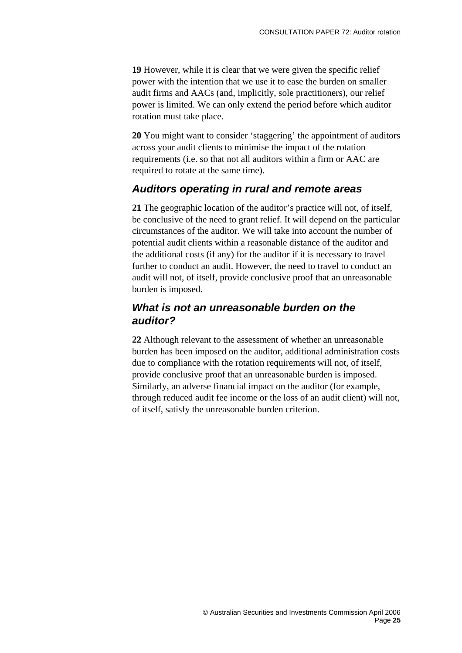**19** However, while it is clear that we were given the specific relief power with the intention that we use it to ease the burden on smaller audit firms and AACs (and, implicitly, sole practitioners), our relief power is limited. We can only extend the period before which auditor rotation must take place.

**20** You might want to consider 'staggering' the appointment of auditors across your audit clients to minimise the impact of the rotation requirements (i.e. so that not all auditors within a firm or AAC are required to rotate at the same time).

#### *Auditors operating in rural and remote areas*

**21** The geographic location of the auditor's practice will not, of itself, be conclusive of the need to grant relief. It will depend on the particular circumstances of the auditor. We will take into account the number of potential audit clients within a reasonable distance of the auditor and the additional costs (if any) for the auditor if it is necessary to travel further to conduct an audit. However, the need to travel to conduct an audit will not, of itself, provide conclusive proof that an unreasonable burden is imposed.

#### *What is not an unreasonable burden on the auditor?*

**22** Although relevant to the assessment of whether an unreasonable burden has been imposed on the auditor, additional administration costs due to compliance with the rotation requirements will not, of itself, provide conclusive proof that an unreasonable burden is imposed. Similarly, an adverse financial impact on the auditor (for example, through reduced audit fee income or the loss of an audit client) will not, of itself, satisfy the unreasonable burden criterion.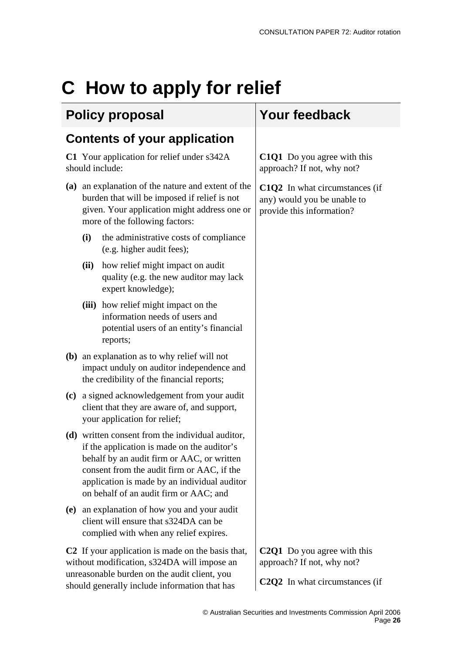# <span id="page-26-0"></span>**C How to apply for relief**

### **Policy proposal Your feedback**

### **Contents of your application**

**C1** Your application for relief under s342A should include:

- **(a)** an explanation of the nature and extent of the burden that will be imposed if relief is not given. Your application might address one or more of the following factors:
	- **(i)** the administrative costs of compliance (e.g. higher audit fees);
	- **(ii)** how relief might impact on audit quality (e.g. the new auditor may lack expert knowledge);
	- **(iii)** how relief might impact on the information needs of users and potential users of an entity's financial reports;
- **(b)** an explanation as to why relief will not impact unduly on auditor independence and the credibility of the financial reports;
- **(c)** a signed acknowledgement from your audit client that they are aware of, and support, your application for relief;
- **(d)** written consent from the individual auditor, if the application is made on the auditor's behalf by an audit firm or AAC, or written consent from the audit firm or AAC, if the application is made by an individual auditor on behalf of an audit firm or AAC; and
- **(e)** an explanation of how you and your audit client will ensure that s324DA can be complied with when any relief expires.

**C2** If your application is made on the basis that, without modification, s324DA will impose an unreasonable burden on the audit client, you should generally include information that has

**C1Q1** Do you agree with this approach? If not, why not?

**C1Q2** In what circumstances (if any) would you be unable to provide this information?

**C2Q1** Do you agree with this approach? If not, why not?

**C2Q2** In what circumstances (if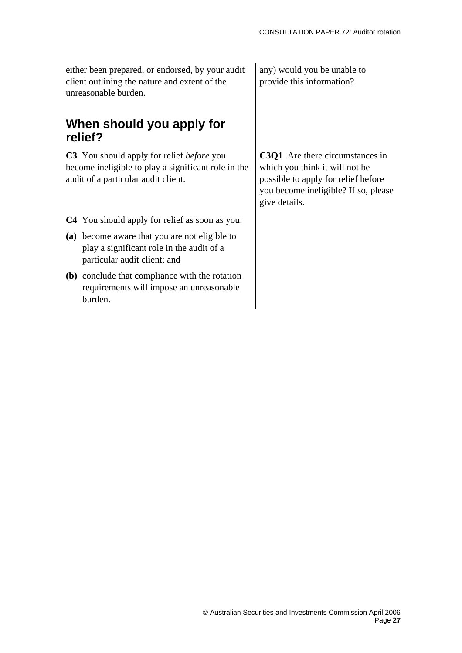either been prepared, or endorsed, by your audit client outlining the nature and extent of the unreasonable burden.

#### **When should you apply for relief?**

**C3** You should apply for relief *before* you become ineligible to play a significant role in the audit of a particular audit client.

- **C4** You should apply for relief as soon as you:
- **(a)** become aware that you are not eligible to play a significant role in the audit of a particular audit client; and
- **(b)** conclude that compliance with the rotation requirements will impose an unreasonable burden.

any) would you be unable to provide this information?

**C3Q1** Are there circumstances in which you think it will not be possible to apply for relief before you become ineligible? If so, please give details.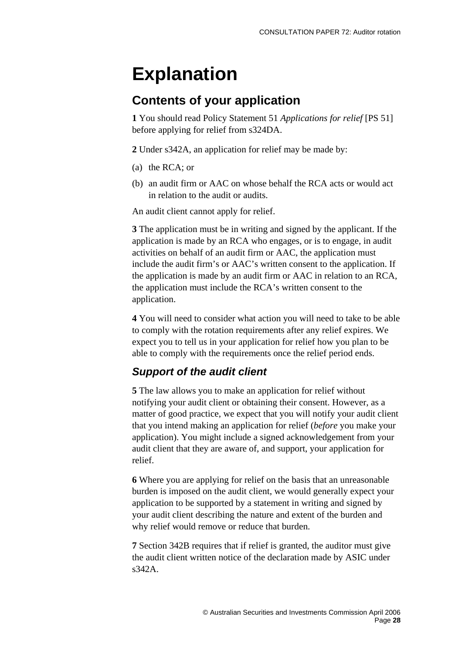# **Explanation**

#### **Contents of your application**

**1** You should read Policy Statement 51 *Applications for relief* [PS 51] before applying for relief from s324DA.

**2** Under s342A, an application for relief may be made by:

- (a) the RCA; or
- (b) an audit firm or AAC on whose behalf the RCA acts or would act in relation to the audit or audits.

An audit client cannot apply for relief.

**3** The application must be in writing and signed by the applicant. If the application is made by an RCA who engages, or is to engage, in audit activities on behalf of an audit firm or AAC, the application must include the audit firm's or AAC's written consent to the application. If the application is made by an audit firm or AAC in relation to an RCA, the application must include the RCA's written consent to the application.

**4** You will need to consider what action you will need to take to be able to comply with the rotation requirements after any relief expires. We expect you to tell us in your application for relief how you plan to be able to comply with the requirements once the relief period ends.

#### *Support of the audit client*

**5** The law allows you to make an application for relief without notifying your audit client or obtaining their consent. However, as a matter of good practice, we expect that you will notify your audit client that you intend making an application for relief (*before* you make your application). You might include a signed acknowledgement from your audit client that they are aware of, and support, your application for relief.

**6** Where you are applying for relief on the basis that an unreasonable burden is imposed on the audit client, we would generally expect your application to be supported by a statement in writing and signed by your audit client describing the nature and extent of the burden and why relief would remove or reduce that burden.

**7** Section 342B requires that if relief is granted, the auditor must give the audit client written notice of the declaration made by ASIC under s342A.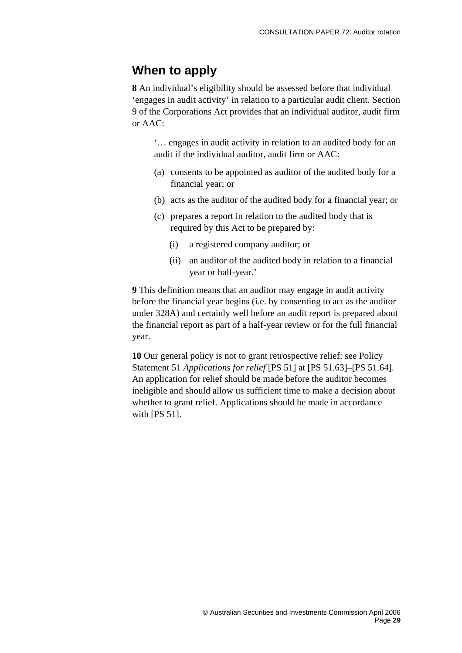#### **When to apply**

**8** An individual's eligibility should be assessed before that individual 'engages in audit activity' in relation to a particular audit client. Section 9 of the Corporations Act provides that an individual auditor, audit firm or AAC:

'… engages in audit activity in relation to an audited body for an audit if the individual auditor, audit firm or AAC:

- (a) consents to be appointed as auditor of the audited body for a financial year; or
- (b) acts as the auditor of the audited body for a financial year; or
- (c) prepares a report in relation to the audited body that is required by this Act to be prepared by:
	- (i) a registered company auditor; or
	- (ii) an auditor of the audited body in relation to a financial year or half-year.'

**9** This definition means that an auditor may engage in audit activity before the financial year begins (i.e. by consenting to act as the auditor under 328A) and certainly well before an audit report is prepared about the financial report as part of a half-year review or for the full financial year.

**10** Our general policy is not to grant retrospective relief: see Policy Statement 51 *Applications for relief* [PS 51] at [PS 51.63]–[PS 51.64]. An application for relief should be made before the auditor becomes ineligible and should allow us sufficient time to make a decision about whether to grant relief. Applications should be made in accordance with [PS 51].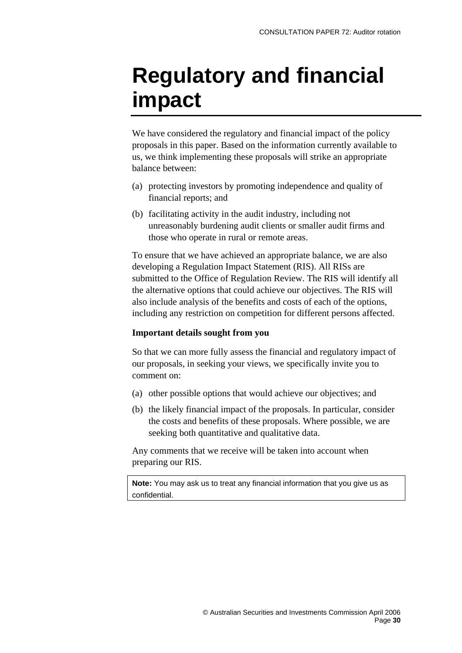# <span id="page-30-0"></span>**Regulatory and financial impact**

We have considered the regulatory and financial impact of the policy proposals in this paper. Based on the information currently available to us, we think implementing these proposals will strike an appropriate balance between:

- (a) protecting investors by promoting independence and quality of financial reports; and
- (b) facilitating activity in the audit industry, including not unreasonably burdening audit clients or smaller audit firms and those who operate in rural or remote areas.

To ensure that we have achieved an appropriate balance, we are also developing a Regulation Impact Statement (RIS). All RISs are submitted to the Office of Regulation Review. The RIS will identify all the alternative options that could achieve our objectives. The RIS will also include analysis of the benefits and costs of each of the options, including any restriction on competition for different persons affected.

#### **Important details sought from you**

So that we can more fully assess the financial and regulatory impact of our proposals, in seeking your views, we specifically invite you to comment on:

- (a) other possible options that would achieve our objectives; and
- (b) the likely financial impact of the proposals. In particular, consider the costs and benefits of these proposals. Where possible, we are seeking both quantitative and qualitative data.

Any comments that we receive will be taken into account when preparing our RIS.

**Note:** You may ask us to treat any financial information that you give us as confidential.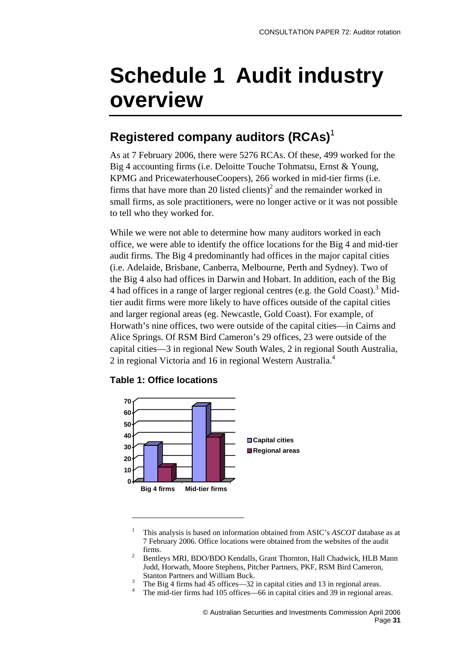# <span id="page-31-0"></span>**Schedule 1 Audit industry overview**

## **Registered company auditors (RCAs)**[1](#page-31-1)

As at 7 February 2006, there were 5276 RCAs. Of these, 499 worked for the Big 4 accounting firms (i.e. Deloitte Touche Tohmatsu, Ernst & Young, KPMG and PricewaterhouseCoopers), 266 worked in mid-tier firms (i.e. firms that have more than 20 listed clients)<sup>2</sup> and the remainder worked in small firms, as sole practitioners, were no longer active or it was not possible to tell who they worked for.

While we were not able to determine how many auditors worked in each office, we were able to identify the office locations for the Big 4 and mid-tier audit firms. The Big 4 predominantly had offices in the major capital cities (i.e. Adelaide, Brisbane, Canberra, Melbourne, Perth and Sydney). Two of the Big 4 also had offices in Darwin and Hobart. In addition, each of the Big 4 had offices in a range of larger regional centres (e.g. the Gold Coast).<sup>[3](#page-31-3)</sup> Midtier audit firms were more likely to have offices outside of the capital cities and larger regional areas (eg. Newcastle, Gold Coast). For example, of Horwath's nine offices, two were outside of the capital cities—in Cairns and Alice Springs. Of RSM Bird Cameron's 29 offices, 23 were outside of the capital cities—3 in regional New South Wales, 2 in regional South Australia, 2 in regional Victoria and 16 in regional Western Australia.<sup>[4](#page-31-4)</sup>



#### **Table 1: Office locations**

 $\overline{a}$ 

- <span id="page-31-3"></span><sup>3</sup> The Big 4 firms had 45 offices—32 in capital cities and 13 in regional areas.
- <span id="page-31-4"></span>The mid-tier firms had 105 offices—66 in capital cities and 39 in regional areas.

<span id="page-31-1"></span><sup>1</sup> This analysis is based on information obtained from ASIC's *ASCOT* database as at 7 February 2006. Office locations were obtained from the websites of the audit

<span id="page-31-2"></span>firms. 2 Bentleys MRI, BDO/BDO Kendalls, Grant Thornton, Hall Chadwick, HLB Mann Judd, Horwath, Moore Stephens, Pitcher Partners, PKF, RSM Bird Cameron, Stanton Partners and William Buck.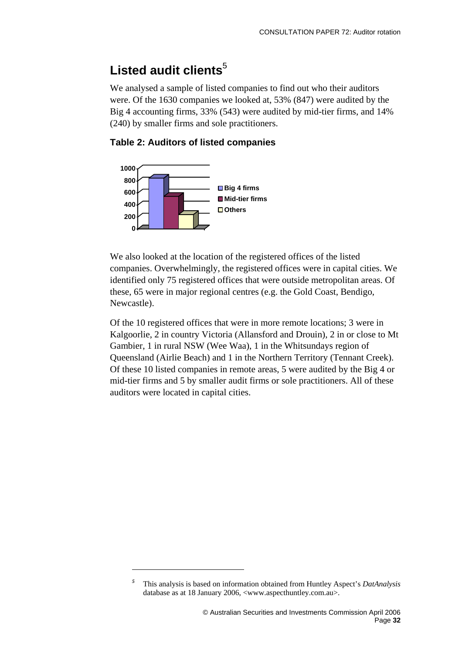## Listed audit clients<sup>[5](#page-32-0)</sup>

We analysed a sample of listed companies to find out who their auditors were. Of the 1630 companies we looked at, 53% (847) were audited by the Big 4 accounting firms, 33% (543) were audited by mid-tier firms, and 14% (240) by smaller firms and sole practitioners.

#### **Table 2: Auditors of listed companies**



 $\overline{a}$ 

We also looked at the location of the registered offices of the listed companies. Overwhelmingly, the registered offices were in capital cities. We identified only 75 registered offices that were outside metropolitan areas. Of these, 65 were in major regional centres (e.g. the Gold Coast, Bendigo, Newcastle).

Of the 10 registered offices that were in more remote locations; 3 were in Kalgoorlie, 2 in country Victoria (Allansford and Drouin), 2 in or close to Mt Gambier, 1 in rural NSW (Wee Waa), 1 in the Whitsundays region of Queensland (Airlie Beach) and 1 in the Northern Territory (Tennant Creek). Of these 10 listed companies in remote areas, 5 were audited by the Big 4 or mid-tier firms and 5 by smaller audit firms or sole practitioners. All of these auditors were located in capital cities.

<span id="page-32-0"></span>*<sup>5</sup>* This analysis is based on information obtained from Huntley Aspect's *DatAnalysis* database as at 18 January 2006, <www.aspecthuntley.com.au>.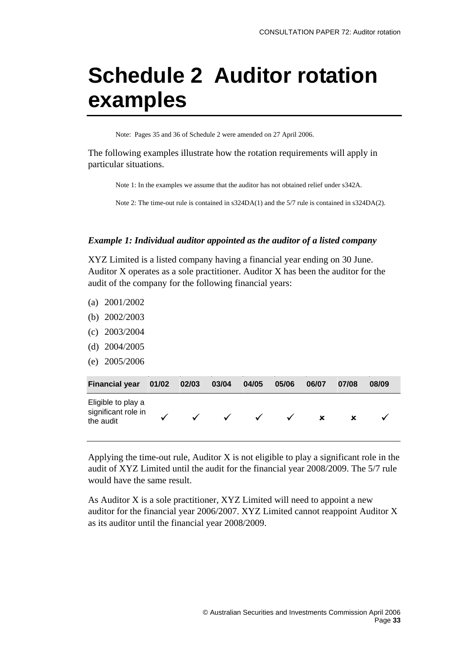# <span id="page-33-0"></span>**Schedule 2 Auditor rotation examples**

Note: Pages 35 and 36 of Schedule 2 were amended on 27 April 2006.

The following examples illustrate how the rotation requirements will apply in particular situations.

Note 1: In the examples we assume that the auditor has not obtained relief under s342A.

Note 2: The time-out rule is contained in s324DA(1) and the 5/7 rule is contained in s324DA(2).

#### *Example 1: Individual auditor appointed as the auditor of a listed company*

XYZ Limited is a listed company having a financial year ending on 30 June. Auditor X operates as a sole practitioner. Auditor X has been the auditor for the audit of the company for the following financial years:

- (a) 2001/2002
- (b) 2002/2003
- (c) 2003/2004
- (d) 2004/2005
- (e) 2005/2006

| <b>Financial year</b>                                  | 01/02 | 02/03        | 03/04        | 04/05        | 05/06 | 06/07 | 07/08 | 08/09 |
|--------------------------------------------------------|-------|--------------|--------------|--------------|-------|-------|-------|-------|
| Eligible to play a<br>significant role in<br>the audit |       | $\checkmark$ | $\checkmark$ | $\checkmark$ | ✓     | ×     |       |       |

Applying the time-out rule, Auditor  $X$  is not eligible to play a significant role in the audit of XYZ Limited until the audit for the financial year 2008/2009. The 5/7 rule would have the same result.

As Auditor X is a sole practitioner, XYZ Limited will need to appoint a new auditor for the financial year 2006/2007. XYZ Limited cannot reappoint Auditor X as its auditor until the financial year 2008/2009.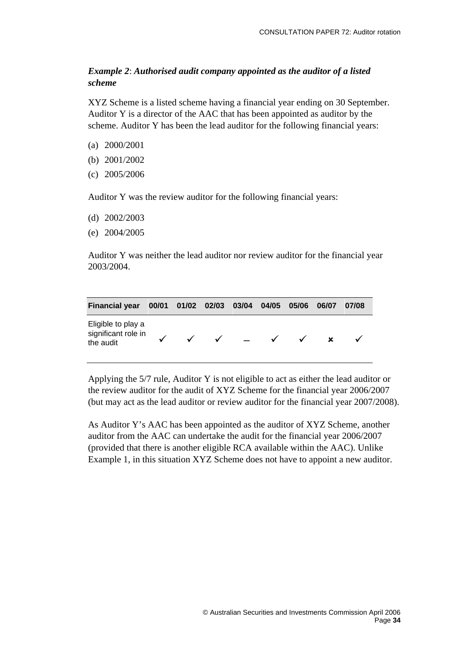#### *Example 2*: *Authorised audit company appointed as the auditor of a listed scheme*

XYZ Scheme is a listed scheme having a financial year ending on 30 September. Auditor Y is a director of the AAC that has been appointed as auditor by the scheme. Auditor Y has been the lead auditor for the following financial years:

- (a) 2000/2001
- (b) 2001/2002
- (c) 2005/2006

Auditor Y was the review auditor for the following financial years:

- (d) 2002/2003
- (e) 2004/2005

Auditor Y was neither the lead auditor nor review auditor for the financial year 2003/2004.

| <b>Financial year</b>                                  | 00/01 01/02 02/03 03/04 |                  | 04/05        | 05/06        | 06/07 | 07/08 |
|--------------------------------------------------------|-------------------------|------------------|--------------|--------------|-------|-------|
| Eligible to play a<br>significant role in<br>the audit | $\checkmark$            | $\checkmark$ $-$ | $\checkmark$ | $\checkmark$ | x     |       |

Applying the 5/7 rule, Auditor Y is not eligible to act as either the lead auditor or the review auditor for the audit of XYZ Scheme for the financial year 2006/2007 (but may act as the lead auditor or review auditor for the financial year 2007/2008).

As Auditor Y's AAC has been appointed as the auditor of XYZ Scheme, another auditor from the AAC can undertake the audit for the financial year 2006/2007 (provided that there is another eligible RCA available within the AAC). Unlike Example 1, in this situation XYZ Scheme does not have to appoint a new auditor.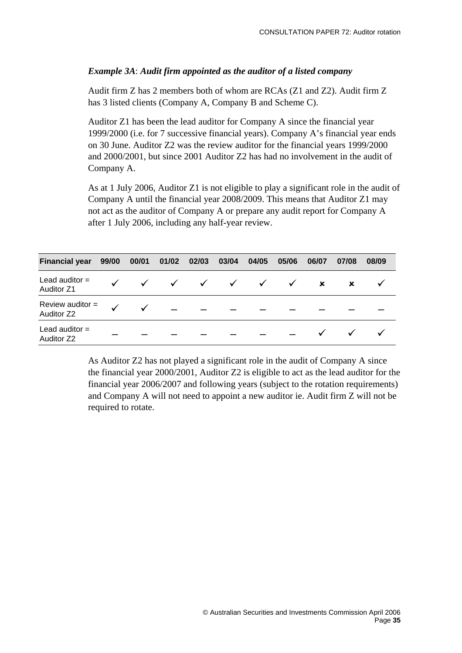#### *Example 3A*: *Audit firm appointed as the auditor of a listed company*

Audit firm Z has 2 members both of whom are RCAs (Z1 and Z2). Audit firm Z has 3 listed clients (Company A, Company B and Scheme C).

Auditor Z1 has been the lead auditor for Company A since the financial year 1999/2000 (i.e. for 7 successive financial years). Company A's financial year ends on 30 June. Auditor Z2 was the review auditor for the financial years 1999/2000 and 2000/2001, but since 2001 Auditor Z2 has had no involvement in the audit of Company A.

As at 1 July 2006, Auditor Z1 is not eligible to play a significant role in the audit of Company A until the financial year 2008/2009. This means that Auditor Z1 may not act as the auditor of Company A or prepare any audit report for Company A after 1 July 2006, including any half-year review.

| <b>Financial year</b>                 | 99/00 |              | 00/01 01/02 02/03 | 03/04                                                     | 04/05 | 05/06        | 06/07                     | 07/08                     | 08/09 |  |
|---------------------------------------|-------|--------------|-------------------|-----------------------------------------------------------|-------|--------------|---------------------------|---------------------------|-------|--|
| Lead auditor $=$<br><b>Auditor Z1</b> |       | $\checkmark$ |                   | $\checkmark\quad\checkmark\quad\checkmark\quad\checkmark$ |       | $\checkmark$ | $\boldsymbol{\mathsf{x}}$ | $\boldsymbol{\mathsf{x}}$ |       |  |
| Review auditor =<br>Auditor Z2        |       |              |                   |                                                           |       |              |                           |                           |       |  |
| Lead auditor $=$<br>Auditor Z2        |       |              |                   |                                                           |       |              |                           |                           |       |  |

As Auditor Z2 has not played a significant role in the audit of Company A since the financial year 2000/2001, Auditor Z2 is eligible to act as the lead auditor for the financial year 2006/2007 and following years (subject to the rotation requirements) and Company A will not need to appoint a new auditor ie. Audit firm Z will not be required to rotate.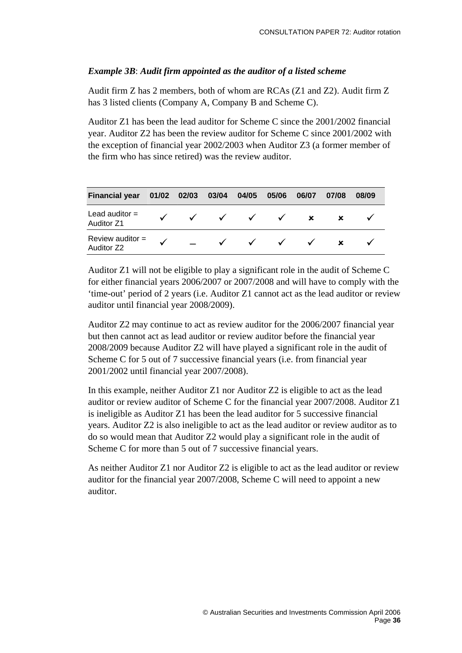#### *Example 3B*: *Audit firm appointed as the auditor of a listed scheme*

Audit firm Z has 2 members, both of whom are RCAs (Z1 and Z2). Audit firm Z has 3 listed clients (Company A, Company B and Scheme C).

Auditor Z1 has been the lead auditor for Scheme C since the 2001/2002 financial year. Auditor Z2 has been the review auditor for Scheme C since 2001/2002 with the exception of financial year 2002/2003 when Auditor Z3 (a former member of the firm who has since retired) was the review auditor.

| <b>Financial year</b>                 | 01/02 | 02/03        | 03/04 04/05  |              | 05/06        | 06/07        | 07/08 | 08/09 |  |
|---------------------------------------|-------|--------------|--------------|--------------|--------------|--------------|-------|-------|--|
| Lead auditor $=$<br><b>Auditor Z1</b> |       | $\checkmark$ | $\checkmark$ | $\checkmark$ | $\sqrt{ }$   | $\mathbf{x}$ |       |       |  |
| Review auditor $=$<br>Auditor Z2      |       |              | $\checkmark$ | $\checkmark$ | $\checkmark$ | $\checkmark$ |       |       |  |

Auditor Z1 will not be eligible to play a significant role in the audit of Scheme C for either financial years 2006/2007 or 2007/2008 and will have to comply with the 'time-out' period of 2 years (i.e. Auditor Z1 cannot act as the lead auditor or review auditor until financial year 2008/2009).

Auditor Z2 may continue to act as review auditor for the 2006/2007 financial year but then cannot act as lead auditor or review auditor before the financial year 2008/2009 because Auditor Z2 will have played a significant role in the audit of Scheme C for 5 out of 7 successive financial years (i.e. from financial year 2001/2002 until financial year 2007/2008).

In this example, neither Auditor Z1 nor Auditor Z2 is eligible to act as the lead auditor or review auditor of Scheme C for the financial year 2007/2008. Auditor Z1 is ineligible as Auditor Z1 has been the lead auditor for 5 successive financial years. Auditor Z2 is also ineligible to act as the lead auditor or review auditor as to do so would mean that Auditor Z2 would play a significant role in the audit of Scheme C for more than 5 out of 7 successive financial years.

As neither Auditor Z1 nor Auditor Z2 is eligible to act as the lead auditor or review auditor for the financial year 2007/2008, Scheme C will need to appoint a new auditor.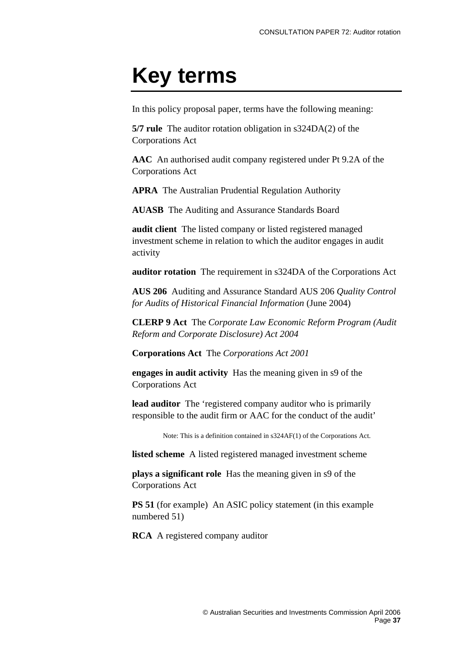# <span id="page-37-0"></span>**Key terms**

In this policy proposal paper, terms have the following meaning:

**5/7 rule** The auditor rotation obligation in s324DA(2) of the Corporations Act

**AAC** An authorised audit company registered under Pt 9.2A of the Corporations Act

**APRA** The Australian Prudential Regulation Authority

**AUASB** The Auditing and Assurance Standards Board

**audit client** The listed company or listed registered managed investment scheme in relation to which the auditor engages in audit activity

**auditor rotation** The requirement in s324DA of the Corporations Act

**AUS 206** Auditing and Assurance Standard AUS 206 *Quality Control for Audits of Historical Financial Information* (June 2004)

**CLERP 9 Act** The *Corporate Law Economic Reform Program (Audit Reform and Corporate Disclosure) Act 2004* 

**Corporations Act** The *Corporations Act 2001*

**engages in audit activity** Has the meaning given in s9 of the Corporations Act

**lead auditor** The 'registered company auditor who is primarily responsible to the audit firm or AAC for the conduct of the audit'

Note: This is a definition contained in s324AF(1) of the Corporations Act.

**listed scheme** A listed registered managed investment scheme

**plays a significant role** Has the meaning given in s9 of the Corporations Act

**PS 51** (for example) An ASIC policy statement (in this example numbered 51)

**RCA** A registered company auditor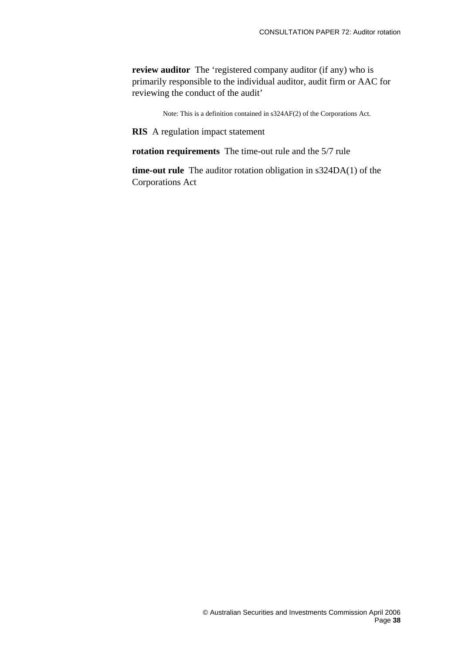**review auditor** The 'registered company auditor (if any) who is primarily responsible to the individual auditor, audit firm or AAC for reviewing the conduct of the audit'

Note: This is a definition contained in s324AF(2) of the Corporations Act.

**RIS** A regulation impact statement

**rotation requirements** The time-out rule and the 5/7 rule

**time-out rule** The auditor rotation obligation in s324DA(1) of the Corporations Act